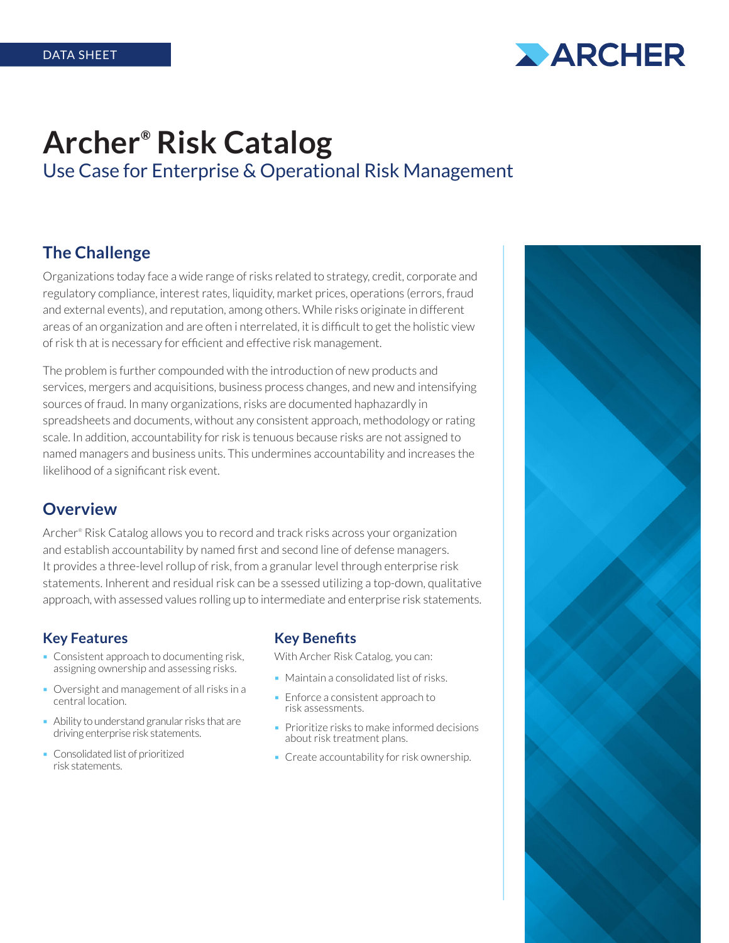

# **Archer® Risk Catalog** Use Case for Enterprise & Operational Risk Management

## **The Challenge**

Organizations today face a wide range of risks related to strategy, credit, corporate and regulatory compliance, interest rates, liquidity, market prices, operations (errors, fraud and external events), and reputation, among others. While risks originate in different areas of an organization and are often i nterrelated, it is difficult to get the holistic view of risk th at is necessary for efficient and effective risk management.

The problem is further compounded with the introduction of new products and services, mergers and acquisitions, business process changes, and new and intensifying sources of fraud. In many organizations, risks are documented haphazardly in spreadsheets and documents, without any consistent approach, methodology or rating scale. In addition, accountability for risk is tenuous because risks are not assigned to named managers and business units. This undermines accountability and increases the likelihood of a significant risk event.

### **Overview**

Archer® Risk Catalog allows you to record and track risks across your organization and establish accountability by named first and second line of defense managers. It provides a three-level rollup of risk, from a granular level through enterprise risk statements. Inherent and residual risk can be a ssessed utilizing a top-down, qualitative approach, with assessed values rolling up to intermediate and enterprise risk statements.

#### **Key Features**

- Consistent approach to documenting risk, assigning ownership and assessing risks.
- Oversight and management of all risks in a central location.
- Ability to understand granular risks that are driving enterprise risk statements.
- Consolidated list of prioritized risk statements.

#### **Key Benefits**

With Archer Risk Catalog, you can:

- **Maintain a consolidated list of risks.**
- **Enforce a consistent approach to** risk assessments.
- Prioritize risks to make informed decisions about risk treatment plans.
- Create accountability for risk ownership.